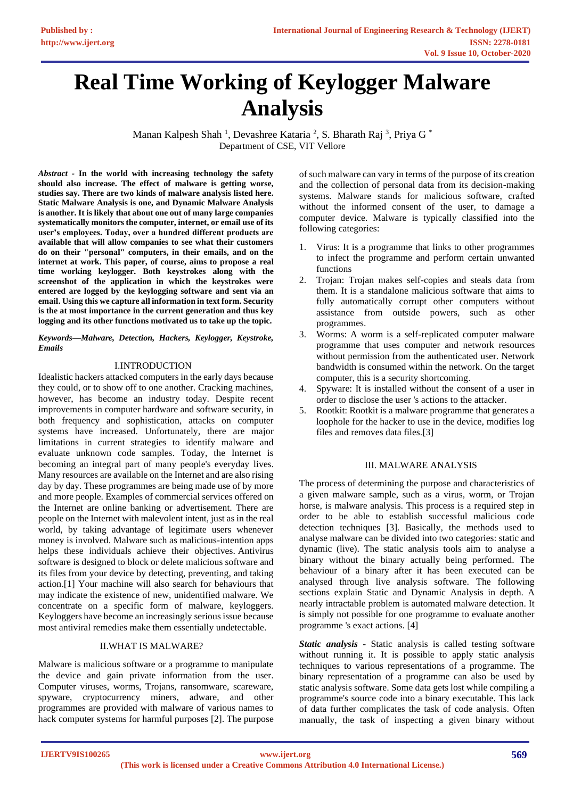# **Real Time Working of Keylogger Malware Analysis**

Manan Kalpesh Shah<sup>1</sup>, Devashree Kataria<sup>2</sup>, S. Bharath Raj<sup>3</sup>, Priya G<sup>\*</sup> Department of CSE, VIT Vellore

*Abstract -* **In the world with increasing technology the safety should also increase. The effect of malware is getting worse, studies say. There are two kinds of malware analysis listed here. Static Malware Analysis is one, and Dynamic Malware Analysis is another. It is likely that about one out of many large companies systematically monitors the computer, internet, or email use of its user's employees. Today, over a hundred different products are available that will allow companies to see what their customers do on their "personal" computers, in their emails, and on the internet at work. This paper, of course, aims to propose a real time working keylogger. Both keystrokes along with the screenshot of the application in which the keystrokes were entered are logged by the keylogging software and sent via an email. Using this we capture all information in text form. Security is the at most importance in the current generation and thus key logging and its other functions motivated us to take up the topic.**

#### *Keywords—Malware, Detection, Hackers, Keylogger, Keystroke, Emails*

# I.INTRODUCTION

Idealistic hackers attacked computers in the early days because they could, or to show off to one another. Cracking machines, however, has become an industry today. Despite recent improvements in computer hardware and software security, in both frequency and sophistication, attacks on computer systems have increased. Unfortunately, there are major limitations in current strategies to identify malware and evaluate unknown code samples. Today, the Internet is becoming an integral part of many people's everyday lives. Many resources are available on the Internet and are also rising day by day. These programmes are being made use of by more and more people. Examples of commercial services offered on the Internet are online banking or advertisement. There are people on the Internet with malevolent intent, just as in the real world, by taking advantage of legitimate users whenever money is involved. Malware such as malicious-intention apps helps these individuals achieve their objectives. Antivirus software is designed to block or delete malicious software and its files from your device by detecting, preventing, and taking action.[1] Your machine will also search for behaviours that may indicate the existence of new, unidentified malware. We concentrate on a specific form of malware, keyloggers. Keyloggers have become an increasingly serious issue because most antiviral remedies make them essentially undetectable.

# II.WHAT IS MALWARE?

Malware is malicious software or a programme to manipulate the device and gain private information from the user. Computer viruses, worms, Trojans, ransomware, scareware, spyware, cryptocurrency miners, adware, and other programmes are provided with malware of various names to hack computer systems for harmful purposes [2]. The purpose of such malware can vary in terms of the purpose of its creation and the collection of personal data from its decision-making systems. Malware stands for malicious software, crafted without the informed consent of the user, to damage a computer device. Malware is typically classified into the following categories:

- 1. Virus: It is a programme that links to other programmes to infect the programme and perform certain unwanted functions
- 2. Trojan: Trojan makes self-copies and steals data from them. It is a standalone malicious software that aims to fully automatically corrupt other computers without assistance from outside powers, such as other programmes.
- 3. Worms: A worm is a self-replicated computer malware programme that uses computer and network resources without permission from the authenticated user. Network bandwidth is consumed within the network. On the target computer, this is a security shortcoming.
- 4. Spyware: It is installed without the consent of a user in order to disclose the user 's actions to the attacker.
- 5. Rootkit: Rootkit is a malware programme that generates a loophole for the hacker to use in the device, modifies log files and removes data files.[3]

# III. MALWARE ANALYSIS

The process of determining the purpose and characteristics of a given malware sample, such as a virus, worm, or Trojan horse, is malware analysis. This process is a required step in order to be able to establish successful malicious code detection techniques [3]. Basically, the methods used to analyse malware can be divided into two categories: static and dynamic (live). The static analysis tools aim to analyse a binary without the binary actually being performed. The behaviour of a binary after it has been executed can be analysed through live analysis software. The following sections explain Static and Dynamic Analysis in depth. A nearly intractable problem is automated malware detection. It is simply not possible for one programme to evaluate another programme 's exact actions. [4]

*Static analysis* - Static analysis is called testing software without running it. It is possible to apply static analysis techniques to various representations of a programme. The binary representation of a programme can also be used by static analysis software. Some data gets lost while compiling a programme's source code into a binary executable. This lack of data further complicates the task of code analysis. Often manually, the task of inspecting a given binary without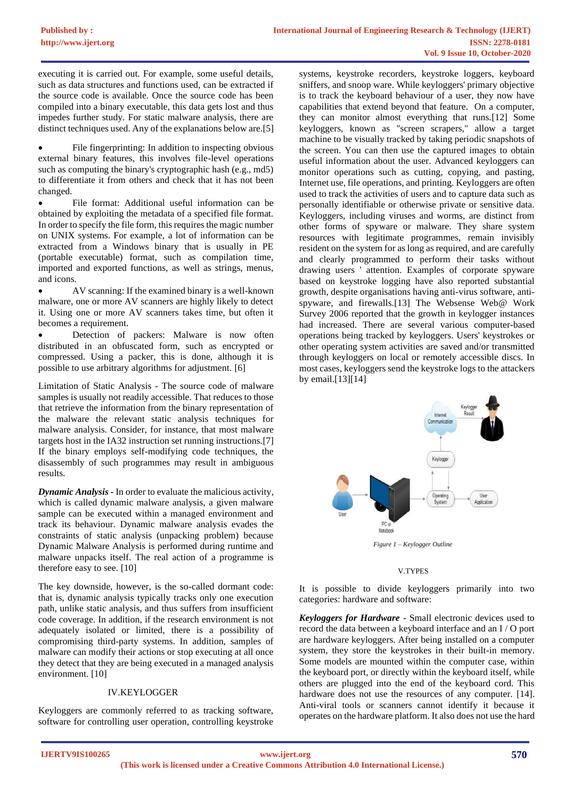executing it is carried out. For example, some useful details, such as data structures and functions used, can be extracted if the source code is available. Once the source code has been compiled into a binary executable, this data gets lost and thus impedes further study. For static malware analysis, there are distinct techniques used. Any of the explanations below are.[5]

File fingerprinting: In addition to inspecting obvious external binary features, this involves file-level operations such as computing the binary's cryptographic hash (e.g., md5) to differentiate it from others and check that it has not been changed.

• File format: Additional useful information can be obtained by exploiting the metadata of a specified file format. In order to specify the file form, this requires the magic number on UNIX systems. For example, a lot of information can be extracted from a Windows binary that is usually in PE (portable executable) format, such as compilation time, imported and exported functions, as well as strings, menus, and icons.

• AV scanning: If the examined binary is a well-known malware, one or more AV scanners are highly likely to detect it. Using one or more AV scanners takes time, but often it becomes a requirement.

Detection of packers: Malware is now often distributed in an obfuscated form, such as encrypted or compressed. Using a packer, this is done, although it is possible to use arbitrary algorithms for adjustment. [6]

Limitation of Static Analysis - The source code of malware samples is usually not readily accessible. That reduces to those that retrieve the information from the binary representation of the malware the relevant static analysis techniques for malware analysis. Consider, for instance, that most malware targets host in the IA32 instruction set running instructions.[7] If the binary employs self-modifying code techniques, the disassembly of such programmes may result in ambiguous results.

*Dynamic Analysis -* In order to evaluate the malicious activity, which is called dynamic malware analysis, a given malware sample can be executed within a managed environment and track its behaviour. Dynamic malware analysis evades the constraints of static analysis (unpacking problem) because Dynamic Malware Analysis is performed during runtime and malware unpacks itself. The real action of a programme is therefore easy to see. [10]

The key downside, however, is the so-called dormant code: that is, dynamic analysis typically tracks only one execution path, unlike static analysis, and thus suffers from insufficient code coverage. In addition, if the research environment is not adequately isolated or limited, there is a possibility of compromising third-party systems. In addition, samples of malware can modify their actions or stop executing at all once they detect that they are being executed in a managed analysis environment. [10]

# IV.KEYLOGGER

Keyloggers are commonly referred to as tracking software, software for controlling user operation, controlling keystroke

systems, keystroke recorders, keystroke loggers, keyboard sniffers, and snoop ware. While keyloggers' primary objective is to track the keyboard behaviour of a user, they now have capabilities that extend beyond that feature. On a computer, they can monitor almost everything that runs.[12] Some keyloggers, known as "screen scrapers," allow a target machine to be visually tracked by taking periodic snapshots of the screen. You can then use the captured images to obtain useful information about the user. Advanced keyloggers can monitor operations such as cutting, copying, and pasting, Internet use, file operations, and printing. Keyloggers are often used to track the activities of users and to capture data such as personally identifiable or otherwise private or sensitive data. Keyloggers, including viruses and worms, are distinct from other forms of spyware or malware. They share system resources with legitimate programmes, remain invisibly resident on the system for as long as required, and are carefully and clearly programmed to perform their tasks without drawing users ' attention. Examples of corporate spyware based on keystroke logging have also reported substantial growth, despite organisations having anti-virus software, antispyware, and firewalls.[13] The Websense Web@ Work Survey 2006 reported that the growth in keylogger instances had increased. There are several various computer-based operations being tracked by keyloggers. Users' keystrokes or other operating system activities are saved and/or transmitted through keyloggers on local or remotely accessible discs. In most cases, keyloggers send the keystroke logs to the attackers by email.[13][14]



#### V.TYPES

It is possible to divide keyloggers primarily into two categories: hardware and software:

*Keyloggers for Hardware* - Small electronic devices used to record the data between a keyboard interface and an I / O port are hardware keyloggers. After being installed on a computer system, they store the keystrokes in their built-in memory. Some models are mounted within the computer case, within the keyboard port, or directly within the keyboard itself, while others are plugged into the end of the keyboard cord. This hardware does not use the resources of any computer. [14]. Anti-viral tools or scanners cannot identify it because it operates on the hardware platform. It also does not use the hard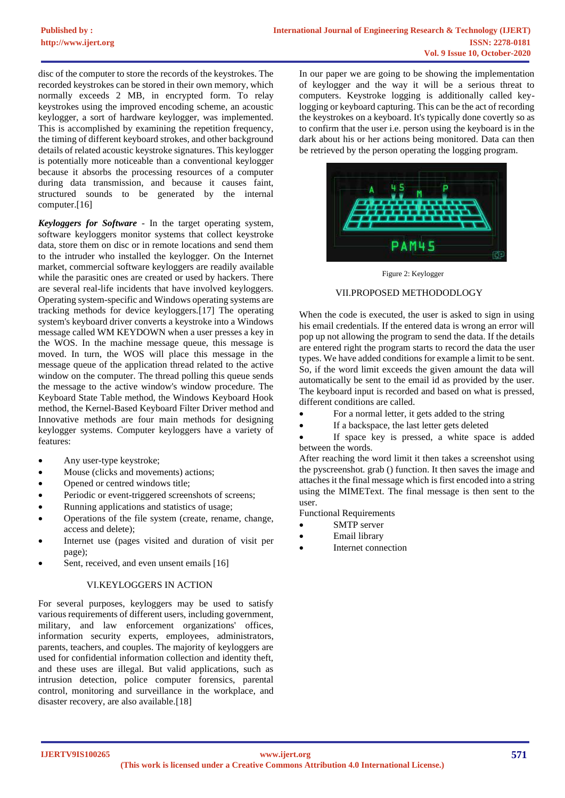disc of the computer to store the records of the keystrokes. The recorded keystrokes can be stored in their own memory, which normally exceeds 2 MB, in encrypted form. To relay keystrokes using the improved encoding scheme, an acoustic keylogger, a sort of hardware keylogger, was implemented. This is accomplished by examining the repetition frequency, the timing of different keyboard strokes, and other background details of related acoustic keystroke signatures. This keylogger is potentially more noticeable than a conventional keylogger because it absorbs the processing resources of a computer during data transmission, and because it causes faint, structured sounds to be generated by the internal computer.[16]

*Keyloggers for Software* - In the target operating system, software keyloggers monitor systems that collect keystroke data, store them on disc or in remote locations and send them to the intruder who installed the keylogger. On the Internet market, commercial software keyloggers are readily available while the parasitic ones are created or used by hackers. There are several real-life incidents that have involved keyloggers. Operating system-specific and Windows operating systems are tracking methods for device keyloggers.[17] The operating system's keyboard driver converts a keystroke into a Windows message called WM KEYDOWN when a user presses a key in the WOS. In the machine message queue, this message is moved. In turn, the WOS will place this message in the message queue of the application thread related to the active window on the computer. The thread polling this queue sends the message to the active window's window procedure. The Keyboard State Table method, the Windows Keyboard Hook method, the Kernel-Based Keyboard Filter Driver method and Innovative methods are four main methods for designing keylogger systems. Computer keyloggers have a variety of features:

- Any user-type keystroke;
- Mouse (clicks and movements) actions;
- Opened or centred windows title;
- Periodic or event-triggered screenshots of screens:
- Running applications and statistics of usage;
- Operations of the file system (create, rename, change, access and delete);
- Internet use (pages visited and duration of visit per page);
- Sent, received, and even unsent emails [16]

# VI.KEYLOGGERS IN ACTION

For several purposes, keyloggers may be used to satisfy various requirements of different users, including government, military, and law enforcement organizations' offices, information security experts, employees, administrators, parents, teachers, and couples. The majority of keyloggers are used for confidential information collection and identity theft, and these uses are illegal. But valid applications, such as intrusion detection, police computer forensics, parental control, monitoring and surveillance in the workplace, and disaster recovery, are also available.[18]

In our paper we are going to be showing the implementation of keylogger and the way it will be a serious threat to computers. Keystroke logging is additionally called keylogging or keyboard capturing. This can be the act of recording the keystrokes on a keyboard. It's typically done covertly so as to confirm that the user i.e. person using the keyboard is in the dark about his or her actions being monitored. Data can then be retrieved by the person operating the logging program.



Figure 2: Keylogger

#### VII.PROPOSED METHODODLOGY

When the code is executed, the user is asked to sign in using his email credentials. If the entered data is wrong an error will pop up not allowing the program to send the data. If the details are entered right the program starts to record the data the user types. We have added conditions for example a limit to be sent. So, if the word limit exceeds the given amount the data will automatically be sent to the email id as provided by the user. The keyboard input is recorded and based on what is pressed, different conditions are called.

- For a normal letter, it gets added to the string
- If a backspace, the last letter gets deleted
- If space key is pressed, a white space is added between the words.

After reaching the word limit it then takes a screenshot using the pyscreenshot. grab () function. It then saves the image and attaches it the final message which is first encoded into a string using the MIMEText. The final message is then sent to the user.

Functional Requirements

- SMTP server
- Email library
- Internet connection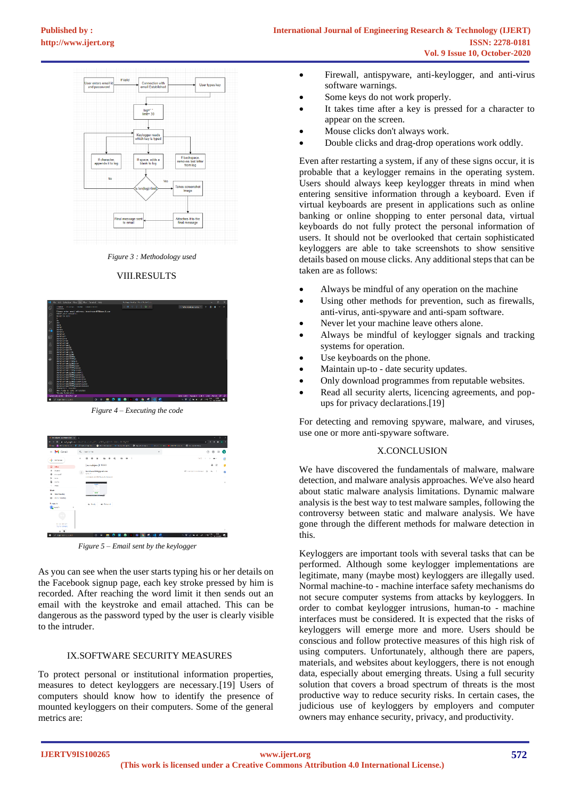

*Figure 3 : Methodology used*

# VIII.RESULTS



*Figure 4 – Executing the code*

| $= M$ Gentil                                                                              | Q. Services<br>٠                                                                                             | $\odot$<br>Θ<br>m<br>۰                  |
|-------------------------------------------------------------------------------------------|--------------------------------------------------------------------------------------------------------------|-----------------------------------------|
| + Great                                                                                   | $\alpha$<br>ú<br>$\bullet$<br>$\qquad \qquad \blacksquare \qquad \blacksquare \qquad \blacksquare$<br>٠<br>n | 141.0<br>$2 - 89$<br>ø                  |
| D. Idea                                                                                   | (no subject) lines:                                                                                          | $\Theta$<br>e<br>$\mathbf{r}$           |
| exerc<br>٠<br>$\circ$<br>eropaed<br>$\rightarrow$<br><b>Sap</b><br>n<br>Dulla<br>$= 5344$ | bostinged 99 Senatorn<br>12.92 =<br>can be an and Hills are company<br><b>Sidney</b><br>w                    | Write-Witnesseau @<br>$\leftarrow$<br>ø |
| <b>Mast</b><br>New need by<br>$\sim$<br>Ell January (No.                                  | $1 - 1 - 1$<br>-<br>------                                                                                   |                                         |
| <b>Linguists</b><br>El Isaat -<br><b>NUMBER</b><br><b>Mail a conseque</b>                 | # Finand<br>4. Rocky                                                                                         |                                         |

*Figure 5 – Email sent by the keylogger*

As you can see when the user starts typing his or her details on the Facebook signup page, each key stroke pressed by him is recorded. After reaching the word limit it then sends out an email with the keystroke and email attached. This can be dangerous as the password typed by the user is clearly visible to the intruder.

#### IX.SOFTWARE SECURITY MEASURES

To protect personal or institutional information properties, measures to detect keyloggers are necessary.[19] Users of computers should know how to identify the presence of mounted keyloggers on their computers. Some of the general metrics are:

- Firewall, antispyware, anti-keylogger, and anti-virus software warnings.
- Some keys do not work properly.
- It takes time after a key is pressed for a character to appear on the screen.
- Mouse clicks don't always work.
- Double clicks and drag-drop operations work oddly.

Even after restarting a system, if any of these signs occur, it is probable that a keylogger remains in the operating system. Users should always keep keylogger threats in mind when entering sensitive information through a keyboard. Even if virtual keyboards are present in applications such as online banking or online shopping to enter personal data, virtual keyboards do not fully protect the personal information of users. It should not be overlooked that certain sophisticated keyloggers are able to take screenshots to show sensitive details based on mouse clicks. Any additional steps that can be taken are as follows:

- Always be mindful of any operation on the machine
- Using other methods for prevention, such as firewalls, anti-virus, anti-spyware and anti-spam software.
- Never let your machine leave others alone.
- Always be mindful of keylogger signals and tracking systems for operation.
- Use keyboards on the phone.
- Maintain up-to date security updates.
- Only download programmes from reputable websites.
- Read all security alerts, licencing agreements, and popups for privacy declarations.[19]

For detecting and removing spyware, malware, and viruses, use one or more anti-spyware software.

#### X.CONCLUSION

We have discovered the fundamentals of malware, malware detection, and malware analysis approaches. We've also heard about static malware analysis limitations. Dynamic malware analysis is the best way to test malware samples, following the controversy between static and malware analysis. We have gone through the different methods for malware detection in this.

Keyloggers are important tools with several tasks that can be performed. Although some keylogger implementations are legitimate, many (maybe most) keyloggers are illegally used. Normal machine-to - machine interface safety mechanisms do not secure computer systems from attacks by keyloggers. In order to combat keylogger intrusions, human-to - machine interfaces must be considered. It is expected that the risks of keyloggers will emerge more and more. Users should be conscious and follow protective measures of this high risk of using computers. Unfortunately, although there are papers, materials, and websites about keyloggers, there is not enough data, especially about emerging threats. Using a full security solution that covers a broad spectrum of threats is the most productive way to reduce security risks. In certain cases, the judicious use of keyloggers by employers and computer owners may enhance security, privacy, and productivity.